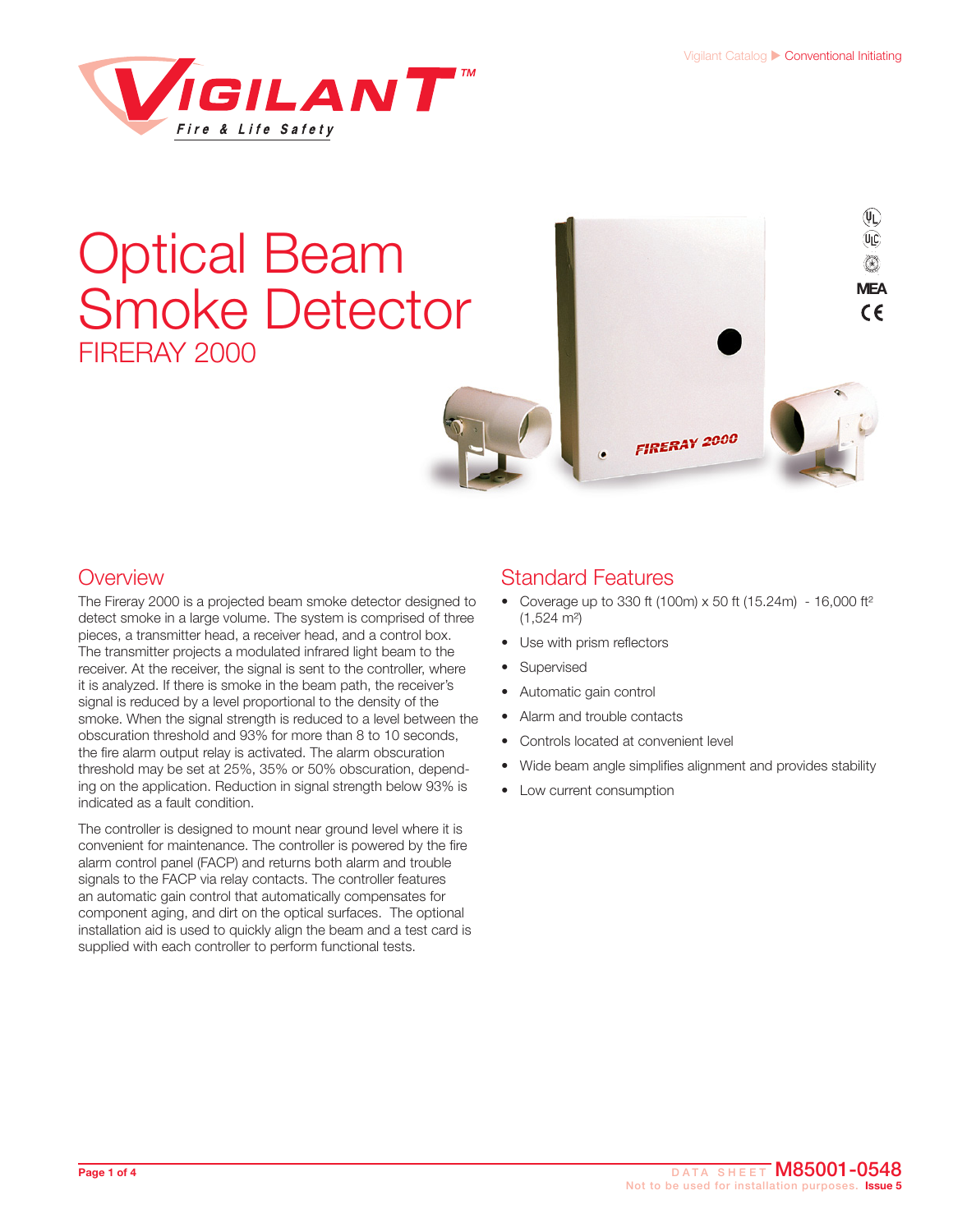$(\mathfrak{g})$ 



# Optical Beam Smoke Detector FIRERAY 2000



#### **Overview**

The Fireray 2000 is a projected beam smoke detector designed to detect smoke in a large volume. The system is comprised of three pieces, a transmitter head, a receiver head, and a control box. The transmitter projects a modulated infrared light beam to the receiver. At the receiver, the signal is sent to the controller, where it is analyzed. If there is smoke in the beam path, the receiver's signal is reduced by a level proportional to the density of the smoke. When the signal strength is reduced to a level between the obscuration threshold and 93% for more than 8 to 10 seconds, the fire alarm output relay is activated. The alarm obscuration threshold may be set at 25%, 35% or 50% obscuration, depending on the application. Reduction in signal strength below 93% is indicated as a fault condition.

The controller is designed to mount near ground level where it is convenient for maintenance. The controller is powered by the fire alarm control panel (FACP) and returns both alarm and trouble signals to the FACP via relay contacts. The controller features an automatic gain control that automatically compensates for component aging, and dirt on the optical surfaces. The optional installation aid is used to quickly align the beam and a test card is supplied with each controller to perform functional tests.

#### Standard Features

- Coverage up to 330 ft (100m)  $\times$  50 ft (15.24m) 16,000 ft<sup>2</sup>  $(1,524 \text{ m}^2)$
- Use with prism reflectors
- Supervised
- Automatic gain control
- Alarm and trouble contacts
- Controls located at convenient level
- Wide beam angle simplifies alignment and provides stability
- Low current consumption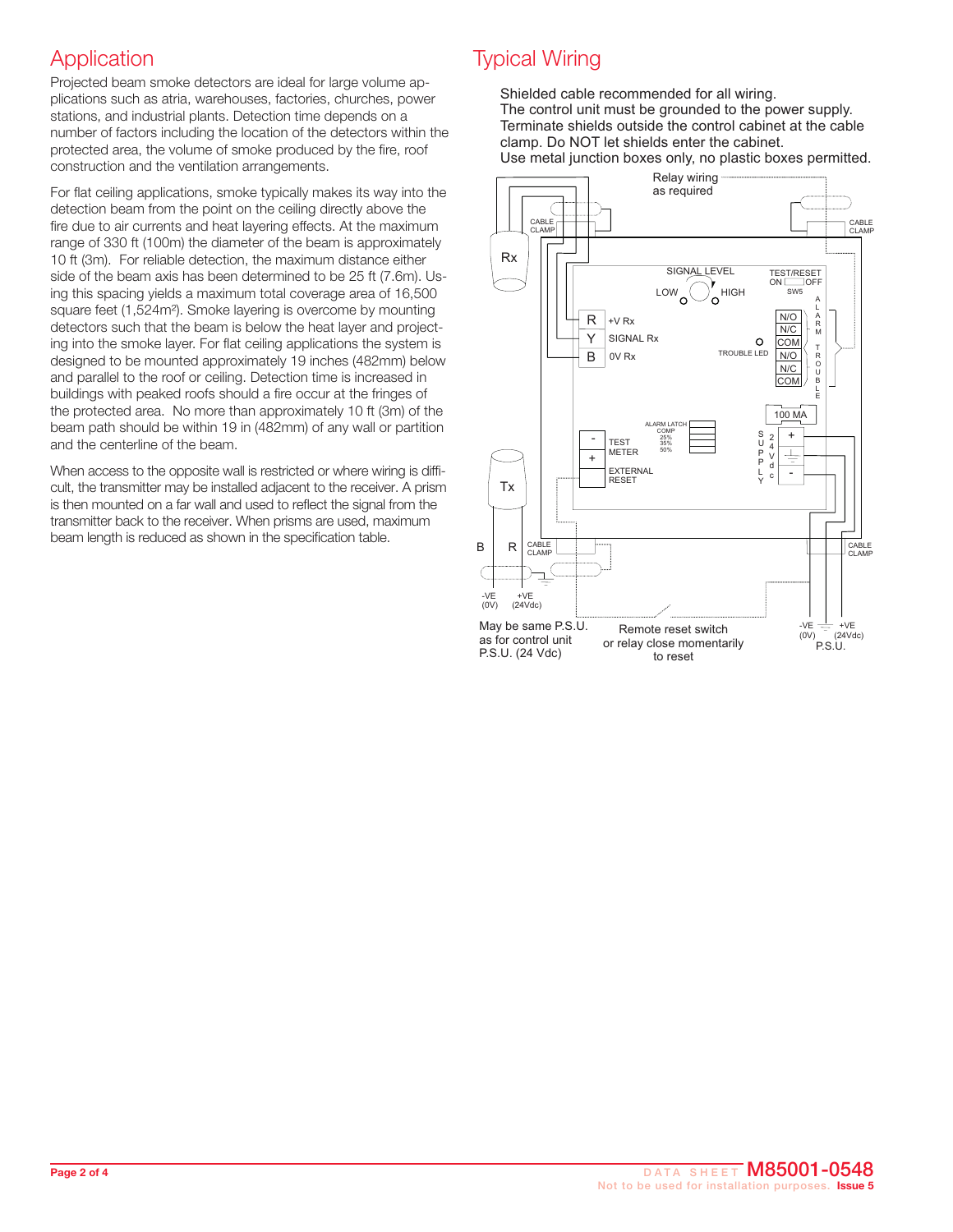### **Application**

Projected beam smoke detectors are ideal for large volume applications such as atria, warehouses, factories, churches, power stations, and industrial plants. Detection time depends on a number of factors including the location of the detectors within the protected area, the volume of smoke produced by the fire, roof construction and the ventilation arrangements.

For flat ceiling applications, smoke typically makes its way into the detection beam from the point on the ceiling directly above the fire due to air currents and heat layering effects. At the maximum range of 330 ft (100m) the diameter of the beam is approximately 10 ft (3m). For reliable detection, the maximum distance either side of the beam axis has been determined to be 25 ft (7.6m). Using this spacing yields a maximum total coverage area of 16,500 square feet (1,524m<sup>2</sup>). Smoke layering is overcome by mounting detectors such that the beam is below the heat layer and projecting into the smoke layer. For flat ceiling applications the system is designed to be mounted approximately 19 inches (482mm) below and parallel to the roof or ceiling. Detection time is increased in buildings with peaked roofs should a fire occur at the fringes of the protected area. No more than approximately 10 ft (3m) of the beam path should be within 19 in (482mm) of any wall or partition and the centerline of the beam.

When access to the opposite wall is restricted or where wiring is difficult, the transmitter may be installed adjacent to the receiver. A prism is then mounted on a far wall and used to reflect the signal from the transmitter back to the receiver. When prisms are used, maximum beam length is reduced as shown in the specification table.

# Typical Wiring

Shielded cable recommended for all wiring. The control unit must be grounded to the power supply. Terminate shields outside the control cabinet at the cable clamp. Do NOT let shields enter the cabinet.

Use metal junction boxes only, no plastic boxes permitted.

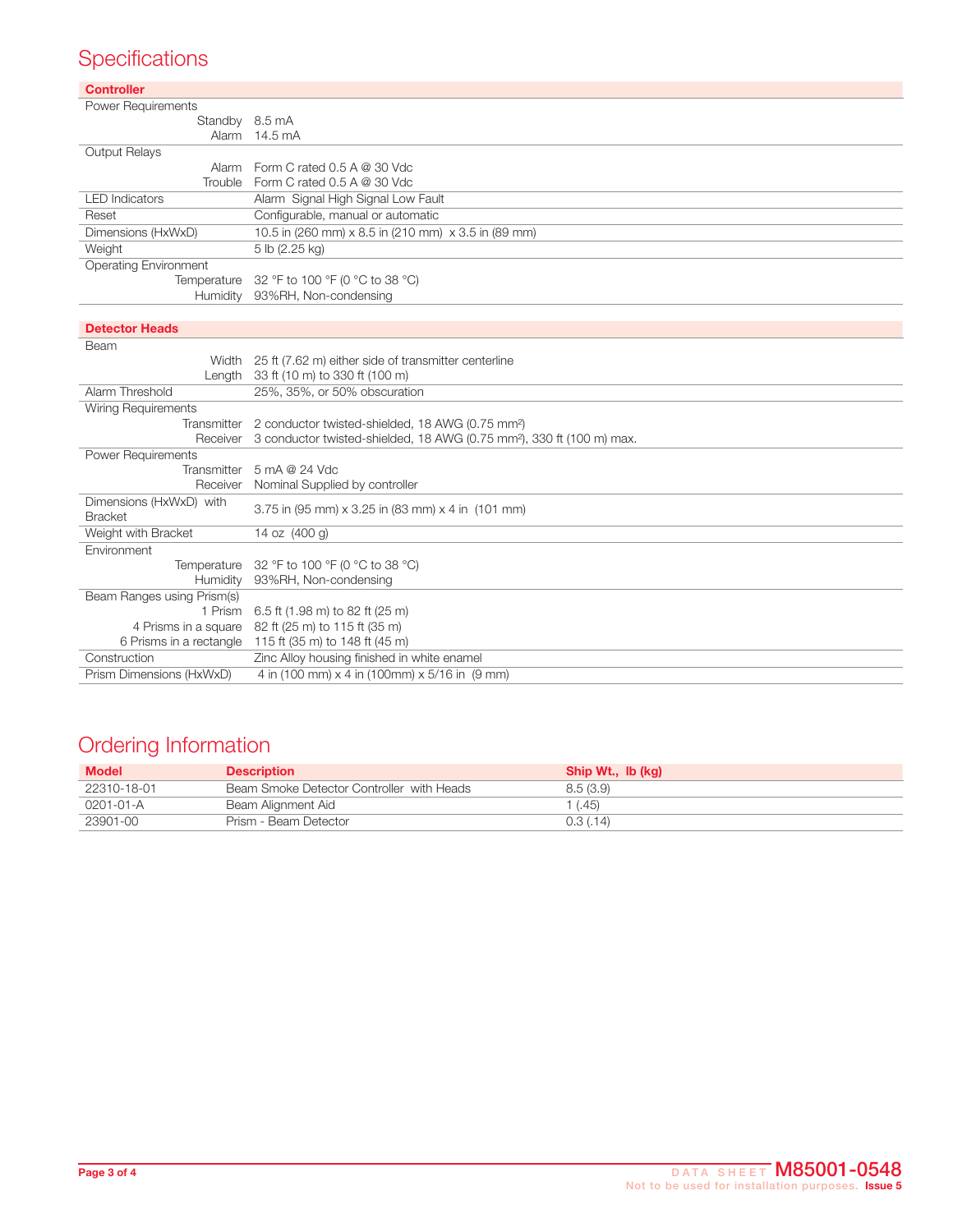# **Specifications**

| <b>Controller</b>            |                                                                                   |
|------------------------------|-----------------------------------------------------------------------------------|
| <b>Power Requirements</b>    |                                                                                   |
| Standby 8.5 mA               |                                                                                   |
| Alarm                        | 14.5 mA                                                                           |
| Output Relays                |                                                                                   |
| Alarm                        | Form C rated $0.5$ A @ 30 Vdc                                                     |
| Trouble                      | Form C rated 0.5 A @ 30 Vdc                                                       |
| <b>LED</b> Indicators        | Alarm Signal High Signal Low Fault                                                |
| Reset                        | Configurable, manual or automatic                                                 |
| Dimensions (HxWxD)           | 10.5 in (260 mm) x 8.5 in (210 mm) x 3.5 in (89 mm)                               |
| Weight                       | 5 lb (2.25 kg)                                                                    |
| <b>Operating Environment</b> |                                                                                   |
| Temperature                  | 32 °F to 100 °F (0 °C to 38 °C)                                                   |
| Humidity                     | 93%RH, Non-condensing                                                             |
|                              |                                                                                   |
| <b>Detector Heads</b>        |                                                                                   |
| Beam                         |                                                                                   |
|                              | Width 25 ft (7.62 m) either side of transmitter centerline                        |
| Length                       | 33 ft (10 m) to 330 ft (100 m)                                                    |
| Alarm Threshold              | 25%, 35%, or 50% obscuration                                                      |
| <b>Wiring Requirements</b>   |                                                                                   |
| Transmitter                  | 2 conductor twisted-shielded, 18 AWG (0.75 mm <sup>2</sup> )                      |
| Receiver                     | 3 conductor twisted-shielded, 18 AWG (0.75 mm <sup>2</sup> ), 330 ft (100 m) max. |
| Power Requirements           |                                                                                   |
| Transmitter                  | 5 mA @ 24 Vdc                                                                     |
| Receiver                     | Nominal Supplied by controller                                                    |
| Dimensions (HxWxD) with      | 3.75 in (95 mm) x 3.25 in (83 mm) x 4 in (101 mm)                                 |
| <b>Bracket</b>               |                                                                                   |
| Weight with Bracket          | 14 oz (400 g)                                                                     |
| Environment                  |                                                                                   |
| Temperature                  | 32 °F to 100 °F (0 °C to 38 °C)                                                   |
| Humidity                     | 93%RH, Non-condensing                                                             |
| Beam Ranges using Prism(s)   |                                                                                   |
| 1 Prism                      | 6.5 ft (1.98 m) to 82 ft (25 m)                                                   |
| 4 Prisms in a square         | 82 ft (25 m) to 115 ft (35 m)                                                     |
| 6 Prisms in a rectangle      | 115 ft (35 m) to 148 ft (45 m)                                                    |
| Construction                 | Zinc Alloy housing finished in white enamel                                       |
| Prism Dimensions (HxWxD)     | 4 in (100 mm) x 4 in (100mm) x 5/16 in (9 mm)                                     |

# Ordering Information

| <b>Model</b> | <b>Description</b>                        | Ship Wt., Ib (kg) |
|--------------|-------------------------------------------|-------------------|
| 22310-18-01  | Beam Smoke Detector Controller with Heads | 8.5 (3.9)         |
| 0201-01-A    | Beam Alignment Aid                        | (0.45)            |
| 23901-00     | Prism - Beam Detector                     | 0.3(0.14)         |